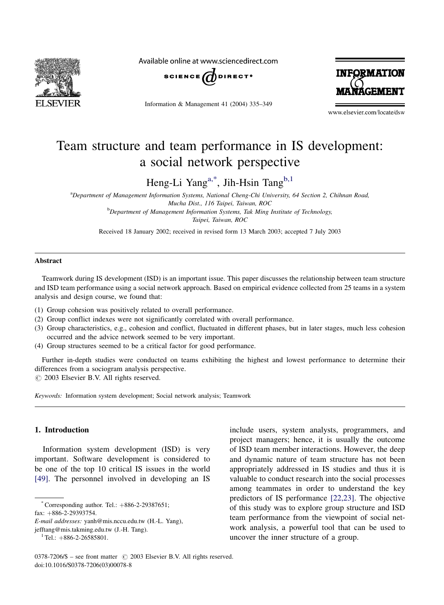

Available online at www.sciencedirect.com



Information & Management 41 (2004) 335–349



www.elsevier.com/locate/dsw

# Team structure and team performance in IS development: a social network perspective

Heng-Li Yang<sup>a,\*</sup>, Jih-Hsin Tang<sup>b,1</sup>

a Department of Management Information Systems, National Cheng-Chi University, 64 Section 2, Chihnan Road, Mucha Dist., 116 Taipei, Taiwan, ROC <sup>b</sup>Department of Management Information Systems, Tak Ming Institute of Technology, Taipei, Taiwan, ROC

Received 18 January 2002; received in revised form 13 March 2003; accepted 7 July 2003

#### Abstract

Teamwork during IS development (ISD) is an important issue. This paper discusses the relationship between team structure and ISD team performance using a social network approach. Based on empirical evidence collected from 25 teams in a system analysis and design course, we found that:

- (1) Group cohesion was positively related to overall performance.
- (2) Group conflict indexes were not significantly correlated with overall performance.
- (3) Group characteristics, e.g., cohesion and conflict, fluctuated in different phases, but in later stages, much less cohesion occurred and the advice network seemed to be very important.
- (4) Group structures seemed to be a critical factor for good performance.

Further in-depth studies were conducted on teams exhibiting the highest and lowest performance to determine their differences from a sociogram analysis perspective.

 $\odot$  2003 Elsevier B.V. All rights reserved.

Keywords: Information system development; Social network analysis; Teamwork

## 1. Introduction

Information system development (ISD) is very important. Software development is considered to be one of the top 10 critical IS issues in the world [\[49\]](#page-14-0). The personnel involved in developing an IS

Corresponding author. Tel.: +886-2-29387651; fax: +886-2-29393754.

E-mail addresses: yanh@mis.nccu.edu.tw (H.-L. Yang), jefftang@mis.takming.edu.tw (J.-H. Tang).<br><sup>1</sup> Tel.: +886-2-26585801.

include users, system analysts, programmers, and project managers; hence, it is usually the outcome of ISD team member interactions. However, the deep and dynamic nature of team structure has not been appropriately addressed in IS studies and thus it is valuable to conduct research into the social processes among teammates in order to understand the key predictors of IS performance [\[22,23\]](#page-13-0). The objective of this study was to explore group structure and ISD team performance from the viewpoint of social network analysis, a powerful tool that can be used to uncover the inner structure of a group.

 $0378-7206/\$$  – see front matter  $\circ$  2003 Elsevier B.V. All rights reserved. doi:10.1016/S0378-7206(03)00078-8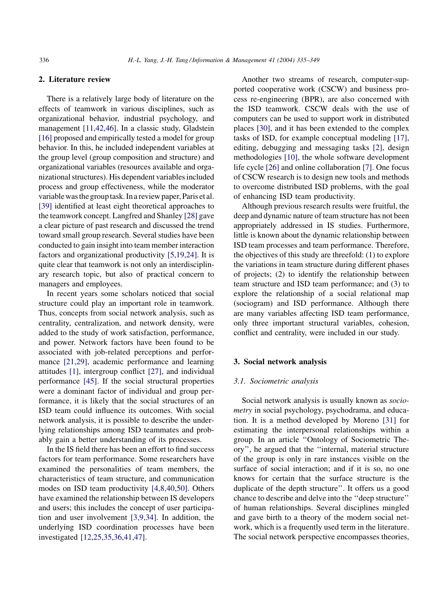## 2. Literature review

There is a relatively large body of literature on the effects of teamwork in various disciplines, such as organizational behavior, industrial psychology, and management [\[11,42,46\].](#page-13-0) In a classic study, Gladstein [\[16\]](#page-13-0) proposed and empirically tested a model for group behavior. In this, he included independent variables at the group level (group composition and structure) and organizational variables (resources available and organizational structures). His dependent variables included process and group effectiveness, while the moderator variablewas thegroup task. In a review paper, Paris et al. [\[39\]](#page-13-0) identified at least eight theoretical approaches to the teamwork concept. Langfred and Shanley [\[28\]](#page-13-0) gave a clear picture of past research and discussed the trend toward small group research. Several studies have been conducted to gain insight into team member interaction factors and organizational productivity [\[5,19,24\]](#page-12-0). It is quite clear that teamwork is not only an interdisciplinary research topic, but also of practical concern to managers and employees.

In recent years some scholars noticed that social structure could play an important role in teamwork. Thus, concepts from social network analysis, such as centrality, centralization, and network density, were added to the study of work satisfaction, performance, and power. Network factors have been found to be associated with job-related perceptions and performance [\[21,29\]](#page-13-0), academic performance and learning attitudes [\[1\],](#page-12-0) intergroup conflict [\[27\]](#page-13-0), and individual performance [\[45\].](#page-13-0) If the social structural properties were a dominant factor of individual and group performance, it is likely that the social structures of an ISD team could influence its outcomes. With social network analysis, it is possible to describe the underlying relationships among ISD teammates and probably gain a better understanding of its processes.

In the IS field there has been an effort to find success factors for team performance. Some researchers have examined the personalities of team members, the characteristics of team structure, and communication modes on ISD team productivity [\[4,8,40,50\].](#page-12-0) Others have examined the relationship between IS developers and users; this includes the concept of user participation and user involvement [\[3,9,34\].](#page-12-0) In addition, the underlying ISD coordination processes have been investigated [\[12,25,35,36,41,47\].](#page-13-0)

Another two streams of research, computer-supported cooperative work (CSCW) and business process re-engineering (BPR), are also concerned with the ISD teamwork. CSCW deals with the use of computers can be used to support work in distributed places [\[30\]](#page-13-0), and it has been extended to the complex tasks of ISD, for example conceptual modeling [\[17\]](#page-13-0), editing, debugging and messaging tasks [\[2\],](#page-12-0) design methodologies [\[10\]](#page-13-0), the whole software development life cycle [\[26\]](#page-13-0) and online collaboration [\[7\]](#page-12-0). One focus of CSCW research is to design new tools and methods to overcome distributed ISD problems, with the goal of enhancing ISD team productivity.

Although previous research results were fruitful, the deep and dynamic nature of team structure has not been appropriately addressed in IS studies. Furthermore, little is known about the dynamic relationship between ISD team processes and team performance. Therefore, the objectives of this study are threefold: (1) to explore the variations in team structure during different phases of projects; (2) to identify the relationship between team structure and ISD team performance; and (3) to explore the relationship of a social relational map (sociogram) and ISD performance. Although there are many variables affecting ISD team performance, only three important structural variables, cohesion, conflict and centrality, were included in our study.

## 3. Social network analysis

#### 3.1. Sociometric analysis

Social network analysis is usually known as sociometry in social psychology, psychodrama, and education. It is a method developed by Moreno [\[31\]](#page-13-0) for estimating the interpersonal relationships within a group. In an article ''Ontology of Sociometric Theory'', he argued that the ''internal, material structure of the group is only in rare instances visible on the surface of social interaction; and if it is so, no one knows for certain that the surface structure is the duplicate of the depth structure''. It offers us a good chance to describe and delve into the ''deep structure'' of human relationships. Several disciplines mingled and gave birth to a theory of the modern social network, which is a frequently used term in the literature. The social network perspective encompasses theories,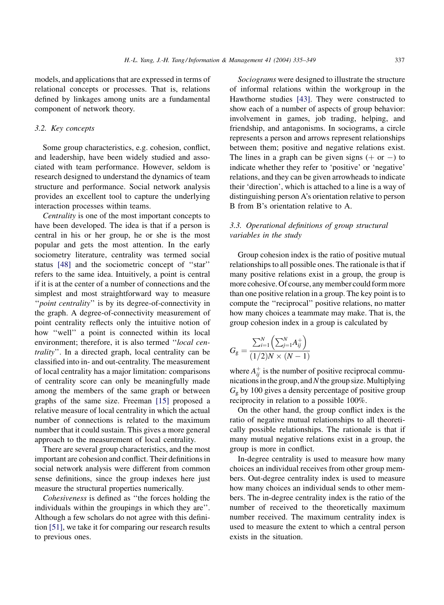models, and applications that are expressed in terms of relational concepts or processes. That is, relations defined by linkages among units are a fundamental component of network theory.

#### 3.2. Key concepts

Some group characteristics, e.g. cohesion, conflict, and leadership, have been widely studied and associated with team performance. However, seldom is research designed to understand the dynamics of team structure and performance. Social network analysis provides an excellent tool to capture the underlying interaction processes within teams.

Centrality is one of the most important concepts to have been developed. The idea is that if a person is central in his or her group, he or she is the most popular and gets the most attention. In the early sociometry literature, centrality was termed social status [\[48\]](#page-14-0) and the sociometric concept of ''star'' refers to the same idea. Intuitively, a point is central if it is at the center of a number of connections and the simplest and most straightforward way to measure ''point centrality'' is by its degree-of-connectivity in the graph. A degree-of-connectivity measurement of point centrality reflects only the intuitive notion of how ''well'' a point is connected within its local environment; therefore, it is also termed ''local centrality''. In a directed graph, local centrality can be classified into in- and out-centrality. The measurement of local centrality has a major limitation: comparisons of centrality score can only be meaningfully made among the members of the same graph or between graphs of the same size. Freeman [\[15\]](#page-13-0) proposed a relative measure of local centrality in which the actual number of connections is related to the maximum number that it could sustain. This gives a more general approach to the measurement of local centrality.

There are several group characteristics, and the most important are cohesion and conflict. Their definitions in social network analysis were different from common sense definitions, since the group indexes here just measure the structural properties numerically.

Cohesiveness is defined as ''the forces holding the individuals within the groupings in which they are''. Although a few scholars do not agree with this definition [\[51\],](#page-14-0) we take it for comparing our research results to previous ones.

Sociograms were designed to illustrate the structure of informal relations within the workgroup in the Hawthorne studies [\[43\]](#page-13-0). They were constructed to show each of a number of aspects of group behavior: involvement in games, job trading, helping, and friendship, and antagonisms. In sociograms, a circle represents a person and arrows represent relationships between them; positive and negative relations exist. The lines in a graph can be given signs  $(+)$  or  $-)$  to indicate whether they refer to 'positive' or 'negative' relations, and they can be given arrowheads to indicate their 'direction', which is attached to a line is a way of distinguishing person A's orientation relative to person B from B's orientation relative to A.

# 3.3. Operational definitions of group structural variables in the study

Group cohesion index is the ratio of positive mutual relationships to all possible ones. The rationale is that if many positive relations exist in a group, the group is more cohesive. Of course, any membercould form more than one positive relation in a group. The key point is to compute the ''reciprocal'' positive relations, no matter how many choices a teammate may make. That is, the group cohesion index in a group is calculated by

$$
G_{g} = \frac{\sum_{i=1}^{N} \left(\sum_{j=1}^{N} A_{ij}^{+}\right)}{(1/2)N \times (N-1)}
$$

where  $A_{ij}^+$  is the number of positive reciprocal communications in the group, and  $N$  the group size. Multiplying  $G<sub>g</sub>$  by 100 gives a density percentage of positive group reciprocity in relation to a possible 100%.

On the other hand, the group conflict index is the ratio of negative mutual relationships to all theoretically possible relationships. The rationale is that if many mutual negative relations exist in a group, the group is more in conflict.

In-degree centrality is used to measure how many choices an individual receives from other group members. Out-degree centrality index is used to measure how many choices an individual sends to other members. The in-degree centrality index is the ratio of the number of received to the theoretically maximum number received. The maximum centrality index is used to measure the extent to which a central person exists in the situation.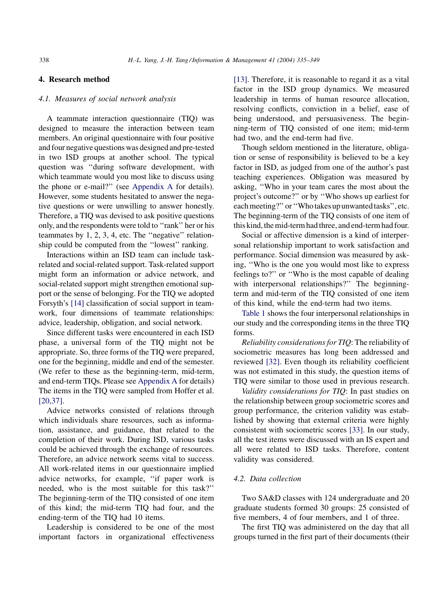## 4. Research method

## 4.1. Measures of social network analysis

A teammate interaction questionnaire (TIQ) was designed to measure the interaction between team members. An original questionnaire with four positive and four negative questions was designed and pre-tested in two ISD groups at another school. The typical question was ''during software development, with which teammate would you most like to discuss using the phone or e-mail?'' (see [Appendix A](#page-11-0) for details). However, some students hesitated to answer the negative questions or were unwilling to answer honestly. Therefore, a TIQ was devised to ask positive questions only, and the respondents were told to ''rank'' her or his teammates by 1, 2, 3, 4, etc. The ''negative'' relationship could be computed from the ''lowest'' ranking.

Interactions within an ISD team can include taskrelated and social-related support. Task-related support might form an information or advice network, and social-related support might strengthen emotional support or the sense of belonging. For the TIQ we adopted Forsyth's [\[14\]](#page-13-0) classification of social support in teamwork, four dimensions of teammate relationships: advice, leadership, obligation, and social network.

Since different tasks were encountered in each ISD phase, a universal form of the TIQ might not be appropriate. So, three forms of the TIQ were prepared, one for the beginning, middle and end of the semester. (We refer to these as the beginning-term, mid-term, and end-term TIQs. Please see [Appendix A](#page-11-0) for details) The items in the TIQ were sampled from Hoffer et al. [\[20,37\].](#page-13-0)

Advice networks consisted of relations through which individuals share resources, such as information, assistance, and guidance, that related to the completion of their work. During ISD, various tasks could be achieved through the exchange of resources. Therefore, an advice network seems vital to success. All work-related items in our questionnaire implied advice networks, for example, ''if paper work is needed, who is the most suitable for this task?'' The beginning-term of the TIQ consisted of one item of this kind; the mid-term TIQ had four, and the ending-term of the TIQ had 10 items.

Leadership is considered to be one of the most important factors in organizational effectiveness [\[13\]](#page-13-0). Therefore, it is reasonable to regard it as a vital factor in the ISD group dynamics. We measured leadership in terms of human resource allocation, resolving conflicts, conviction in a belief, ease of being understood, and persuasiveness. The beginning-term of TIQ consisted of one item; mid-term had two, and the end-term had five.

Though seldom mentioned in the literature, obligation or sense of responsibility is believed to be a key factor in ISD, as judged from one of the author's past teaching experiences. Obligation was measured by asking, ''Who in your team cares the most about the project's outcome?'' or by ''Who shows up earliest for each meeting?" or "Who takes up unwanted tasks", etc. The beginning-term of the TIQ consists of one item of this kind, the mid-term had three, and end-term had four.

Social or affective dimension is a kind of interpersonal relationship important to work satisfaction and performance. Social dimension was measured by asking, ''Who is the one you would most like to express feelings to?'' or ''Who is the most capable of dealing with interpersonal relationships?" The beginningterm and mid-term of the TIQ consisted of one item of this kind, while the end-term had two items.

[Table 1](#page-4-0) shows the four interpersonal relationships in our study and the corresponding items in the three TIQ forms.

Reliability considerations for TIQ: The reliability of sociometric measures has long been addressed and reviewed [\[32\].](#page-13-0) Even though its reliability coefficient was not estimated in this study, the question items of TIQ were similar to those used in previous research.

Validity considerations for TIQ: In past studies on the relationship between group sociometric scores and group performance, the criterion validity was established by showing that external criteria were highly consistent with sociometric scores [\[33\].](#page-13-0) In our study, all the test items were discussed with an IS expert and all were related to ISD tasks. Therefore, content validity was considered.

## 4.2. Data collection

Two SA&D classes with 124 undergraduate and 20 graduate students formed 30 groups: 25 consisted of five members, 4 of four members, and 1 of three.

The first TIQ was administered on the day that all groups turned in the first part of their documents (their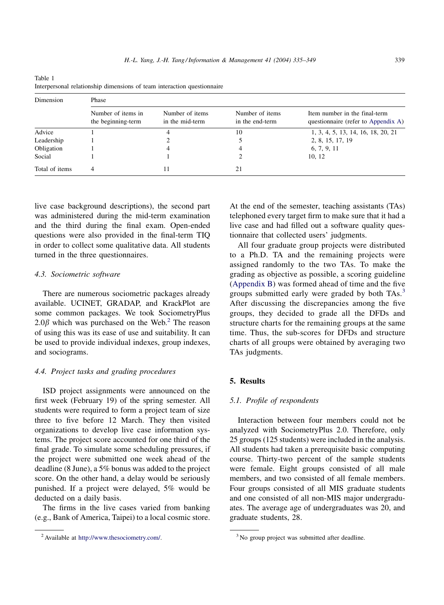<span id="page-4-0"></span>Table 1 Interpersonal relationship dimensions of team interaction questionnaire

| Dimension      | Phase                                    |                                    |                                    |                                                                      |  |  |  |  |
|----------------|------------------------------------------|------------------------------------|------------------------------------|----------------------------------------------------------------------|--|--|--|--|
|                | Number of items in<br>the beginning-term | Number of items<br>in the mid-term | Number of items<br>in the end-term | Item number in the final-term<br>questionnaire (refer to Appendix A) |  |  |  |  |
| Advice         |                                          |                                    | 10                                 | 1, 3, 4, 5, 13, 14, 16, 18, 20, 21                                   |  |  |  |  |
| Leadership     |                                          |                                    |                                    | 2, 8, 15, 17, 19                                                     |  |  |  |  |
| Obligation     |                                          |                                    |                                    | 6, 7, 9, 11                                                          |  |  |  |  |
| Social         |                                          |                                    |                                    | 10, 12                                                               |  |  |  |  |
| Total of items | 4                                        |                                    | 21                                 |                                                                      |  |  |  |  |

live case background descriptions), the second part was administered during the mid-term examination and the third during the final exam. Open-ended questions were also provided in the final-term TIQ in order to collect some qualitative data. All students turned in the three questionnaires.

## 4.3. Sociometric software

There are numerous sociometric packages already available. UCINET, GRADAP, and KrackPlot are some common packages. We took SociometryPlus 2.0 $\beta$  which was purchased on the Web.<sup>2</sup> The reason of using this was its ease of use and suitability. It can be used to provide individual indexes, group indexes, and sociograms.

#### 4.4. Project tasks and grading procedures

ISD project assignments were announced on the first week (February 19) of the spring semester. All students were required to form a project team of size three to five before 12 March. They then visited organizations to develop live case information systems. The project score accounted for one third of the final grade. To simulate some scheduling pressures, if the project were submitted one week ahead of the deadline (8 June), a 5% bonus was added to the project score. On the other hand, a delay would be seriously punished. If a project were delayed, 5% would be deducted on a daily basis.

The firms in the live cases varied from banking (e.g., Bank of America, Taipei) to a local cosmic store.

At the end of the semester, teaching assistants (TAs) telephoned every target firm to make sure that it had a live case and had filled out a software quality questionnaire that collected users' judgments.

All four graduate group projects were distributed to a Ph.D. TA and the remaining projects were assigned randomly to the two TAs. To make the grading as objective as possible, a scoring guideline ([Appendix B\)](#page-12-0) was formed ahead of time and the five groups submitted early were graded by both TAs.<sup>3</sup> After discussing the discrepancies among the five groups, they decided to grade all the DFDs and structure charts for the remaining groups at the same time. Thus, the sub-scores for DFDs and structure charts of all groups were obtained by averaging two TAs judgments.

## 5. Results

#### 5.1. Profile of respondents

Interaction between four members could not be analyzed with SociometryPlus 2.0. Therefore, only 25 groups (125 students) were included in the analysis. All students had taken a prerequisite basic computing course. Thirty-two percent of the sample students were female. Eight groups consisted of all male members, and two consisted of all female members. Four groups consisted of all MIS graduate students and one consisted of all non-MIS major undergraduates. The average age of undergraduates was 20, and graduate students, 28.

<sup>&</sup>lt;sup>2</sup> Available at [http://www.thesociometry.com/.](HTTP://WWW.THESOCIOMETRY.COM/)  $3^{3}$ No group project was submitted after deadline.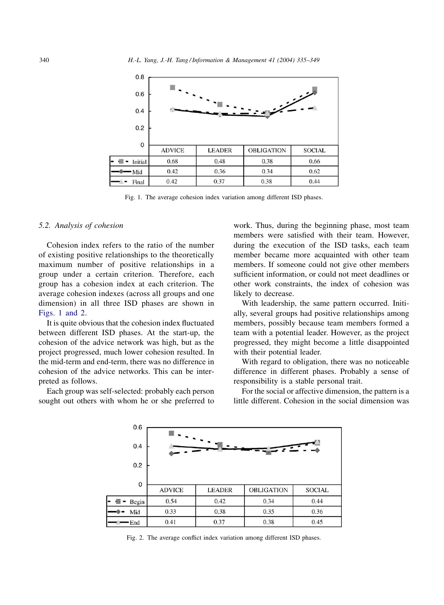

Fig. 1. The average cohesion index variation among different ISD phases.

#### 5.2. Analysis of cohesion

Cohesion index refers to the ratio of the number of existing positive relationships to the theoretically maximum number of positive relationships in a group under a certain criterion. Therefore, each group has a cohesion index at each criterion. The average cohesion indexes (across all groups and one dimension) in all three ISD phases are shown in Figs. 1 and 2.

It is quite obvious that the cohesion index fluctuated between different ISD phases. At the start-up, the cohesion of the advice network was high, but as the project progressed, much lower cohesion resulted. In the mid-term and end-term, there was no difference in cohesion of the advice networks. This can be interpreted as follows.

Each group was self-selected: probably each person sought out others with whom he or she preferred to work. Thus, during the beginning phase, most team members were satisfied with their team. However, during the execution of the ISD tasks, each team member became more acquainted with other team members. If someone could not give other members sufficient information, or could not meet deadlines or other work constraints, the index of cohesion was likely to decrease.

With leadership, the same pattern occurred. Initially, several groups had positive relationships among members, possibly because team members formed a team with a potential leader. However, as the project progressed, they might become a little disappointed with their potential leader.

With regard to obligation, there was no noticeable difference in different phases. Probably a sense of responsibility is a stable personal trait.

For the social or affective dimension, the pattern is a little different. Cohesion in the social dimension was



Fig. 2. The average conflict index variation among different ISD phases.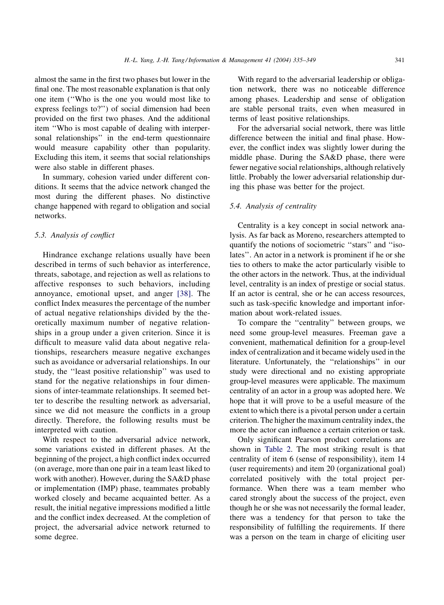almost the same in the first two phases but lower in the final one. The most reasonable explanation is that only one item (''Who is the one you would most like to express feelings to?'') of social dimension had been provided on the first two phases. And the additional item ''Who is most capable of dealing with interpersonal relationships'' in the end-term questionnaire would measure capability other than popularity. Excluding this item, it seems that social relationships were also stable in different phases.

In summary, cohesion varied under different conditions. It seems that the advice network changed the most during the different phases. No distinctive change happened with regard to obligation and social networks.

#### 5.3. Analysis of conflict

Hindrance exchange relations usually have been described in terms of such behavior as interference, threats, sabotage, and rejection as well as relations to affective responses to such behaviors, including annoyance, emotional upset, and anger [\[38\]](#page-13-0). The conflict Index measures the percentage of the number of actual negative relationships divided by the theoretically maximum number of negative relationships in a group under a given criterion. Since it is difficult to measure valid data about negative relationships, researchers measure negative exchanges such as avoidance or adversarial relationships. In our study, the ''least positive relationship'' was used to stand for the negative relationships in four dimensions of inter-teammate relationships. It seemed better to describe the resulting network as adversarial, since we did not measure the conflicts in a group directly. Therefore, the following results must be interpreted with caution.

With respect to the adversarial advice network, some variations existed in different phases. At the beginning of the project, a high conflict index occurred (on average, more than one pair in a team least liked to work with another). However, during the SA&D phase or implementation (IMP) phase, teammates probably worked closely and became acquainted better. As a result, the initial negative impressions modified a little and the conflict index decreased. At the completion of project, the adversarial advice network returned to some degree.

With regard to the adversarial leadership or obligation network, there was no noticeable difference among phases. Leadership and sense of obligation are stable personal traits, even when measured in terms of least positive relationships.

For the adversarial social network, there was little difference between the initial and final phase. However, the conflict index was slightly lower during the middle phase. During the SA&D phase, there were fewer negative social relationships, although relatively little. Probably the lower adversarial relationship during this phase was better for the project.

# 5.4. Analysis of centrality

Centrality is a key concept in social network analysis. As far back as Moreno, researchers attempted to quantify the notions of sociometric ''stars'' and ''isolates''. An actor in a network is prominent if he or she ties to others to make the actor particularly visible to the other actors in the network. Thus, at the individual level, centrality is an index of prestige or social status. If an actor is central, she or he can access resources, such as task-specific knowledge and important information about work-related issues.

To compare the ''centrality'' between groups, we need some group-level measures. Freeman gave a convenient, mathematical definition for a group-level index of centralization and it became widely used in the literature. Unfortunately, the ''relationships'' in our study were directional and no existing appropriate group-level measures were applicable. The maximum centrality of an actor in a group was adopted here. We hope that it will prove to be a useful measure of the extent to which there is a pivotal person under a certain criterion. The higher the maximum centrality index, the more the actor can influence a certain criterion or task.

Only significant Pearson product correlations are shown in [Table 2](#page-7-0). The most striking result is that centrality of item 6 (sense of responsibility), item 14 (user requirements) and item 20 (organizational goal) correlated positively with the total project performance. When there was a team member who cared strongly about the success of the project, even though he or she was not necessarily the formal leader, there was a tendency for that person to take the responsibility of fulfilling the requirements. If there was a person on the team in charge of eliciting user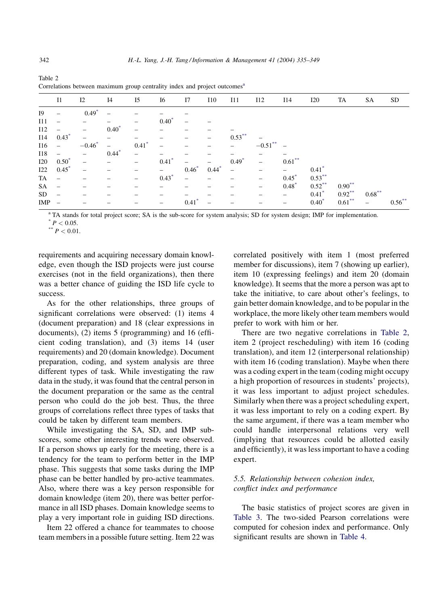|          | 12<br>$0.49*$            | I4                   | <b>I5</b> | I6                  | I7                             | <b>I10</b>          | <b>I11</b> | I12                  | I14     | <b>I20</b>           | TA        | SA                     | <b>SD</b> |
|----------|--------------------------|----------------------|-----------|---------------------|--------------------------------|---------------------|------------|----------------------|---------|----------------------|-----------|------------------------|-----------|
|          |                          |                      |           |                     |                                |                     |            |                      |         |                      |           |                        |           |
|          |                          |                      |           |                     |                                |                     |            |                      |         |                      |           |                        |           |
|          |                          |                      |           | $0.40^*$            |                                |                     |            |                      |         |                      |           |                        |           |
|          | $\overline{\phantom{m}}$ | $0.40*$              |           |                     |                                |                     |            |                      |         |                      |           |                        |           |
| $0.43*$  | $\overline{\phantom{0}}$ |                      |           |                     |                                |                     |            |                      |         |                      |           |                        |           |
|          |                          | $\qquad \qquad -$    |           |                     |                                |                     |            | $-0.51$              |         |                      |           |                        |           |
|          | $\overline{\phantom{0}}$ | $0.44$ <sup>*</sup>  |           |                     |                                |                     |            |                      |         |                      |           |                        |           |
| $0.50*$  | $\overline{\phantom{0}}$ |                      |           |                     |                                |                     |            |                      |         |                      |           |                        |           |
| $0.45^*$ | $\qquad \qquad$          |                      |           | $-$                 | $0.46*$                        | $0.44*$             |            |                      |         | $0.41^*$             |           |                        |           |
|          |                          |                      |           |                     | $\overline{\phantom{0}}$       |                     |            |                      |         |                      |           |                        |           |
|          |                          |                      |           |                     |                                |                     |            |                      | $0.48*$ | $0.52***$            | $0.90***$ |                        |           |
|          |                          |                      |           |                     |                                |                     |            |                      |         | $0.41^*$             |           |                        |           |
|          |                          |                      |           |                     |                                |                     |            |                      |         | $0.40*$              |           |                        | $0.56***$ |
|          |                          | $-0.46$ <sup>*</sup> |           | $0.41$ <sup>*</sup> | $0.41$ <sup>*</sup><br>$0.43*$ | $0.41$ <sup>*</sup> |            | $0.53***$<br>$0.49*$ |         | $0.61$ **<br>$0.45*$ | $0.53***$ | $0.92***$<br>$0.61***$ | $0.68***$ |

|  | Correlations between maximum group centrality index and project outcomes <sup>a</sup> |
|--|---------------------------------------------------------------------------------------|
|  |                                                                                       |

<sup>a</sup> TA stands for total project score; SA is the sub-score for system analysis; SD for system design; IMP for implementation.

 $P < 0.05$ .<br>\*\*  $P < 0.01$ .

requirements and acquiring necessary domain knowledge, even though the ISD projects were just course exercises (not in the field organizations), then there was a better chance of guiding the ISD life cycle to success.

As for the other relationships, three groups of significant correlations were observed: (1) items 4 (document preparation) and 18 (clear expressions in documents), (2) items 5 (programming) and 16 (efficient coding translation), and (3) items 14 (user requirements) and 20 (domain knowledge). Document preparation, coding, and system analysis are three different types of task. While investigating the raw data in the study, it was found that the central person in the document preparation or the same as the central person who could do the job best. Thus, the three groups of correlations reflect three types of tasks that could be taken by different team members.

While investigating the SA, SD, and IMP subscores, some other interesting trends were observed. If a person shows up early for the meeting, there is a tendency for the team to perform better in the IMP phase. This suggests that some tasks during the IMP phase can be better handled by pro-active teammates. Also, where there was a key person responsible for domain knowledge (item 20), there was better performance in all ISD phases. Domain knowledge seems to play a very important role in guiding ISD directions.

Item 22 offered a chance for teammates to choose team members in a possible future setting. Item 22 was correlated positively with item 1 (most preferred member for discussions), item 7 (showing up earlier), item 10 (expressing feelings) and item 20 (domain knowledge). It seems that the more a person was apt to take the initiative, to care about other's feelings, to gain better domain knowledge, and to be popular in the workplace, the more likely other team members would prefer to work with him or her.

There are two negative correlations in Table 2, item 2 (project rescheduling) with item 16 (coding translation), and item 12 (interpersonal relationship) with item 16 (coding translation). Maybe when there was a coding expert in the team (coding might occupy a high proportion of resources in students' projects), it was less important to adjust project schedules. Similarly when there was a project scheduling expert, it was less important to rely on a coding expert. By the same argument, if there was a team member who could handle interpersonal relations very well (implying that resources could be allotted easily and efficiently), it was less important to have a coding expert.

# 5.5. Relationship between cohesion index, conflict index and performance

The basic statistics of project scores are given in [Table 3](#page-8-0). The two-sided Pearson correlations were computed for cohesion index and performance. Only significant results are shown in [Table 4](#page-8-0).

<span id="page-7-0"></span>Table 2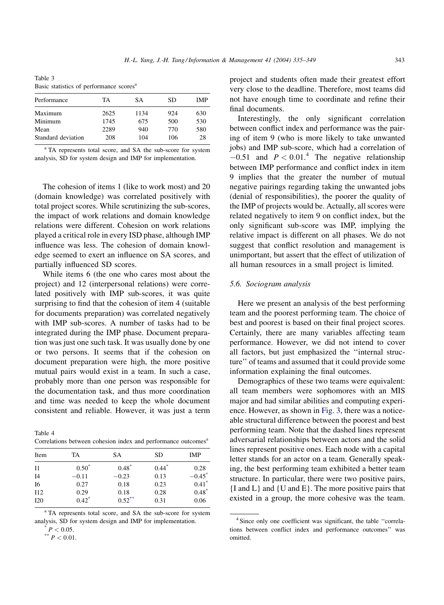<span id="page-8-0"></span>Table 3 Basic statistics of performance scores<sup>a</sup>

| Performance        | TA   | SА   | SD  | IMP |
|--------------------|------|------|-----|-----|
| Maximum            | 2625 | 1134 | 924 | 630 |
| Minimum            | 1745 | 675  | 500 | 530 |
| Mean               | 2289 | 940  | 770 | 580 |
| Standard deviation | 208  | 104  | 106 | 28  |

<sup>a</sup> TA represents total score, and SA the sub-score for system analysis, SD for system design and IMP for implementation.

The cohesion of items 1 (like to work most) and 20 (domain knowledge) was correlated positively with total project scores. While scrutinizing the sub-scores, the impact of work relations and domain knowledge relations were different. Cohesion on work relations played a critical role in every ISD phase, although IMP influence was less. The cohesion of domain knowledge seemed to exert an influence on SA scores, and partially influenced SD scores.

While items 6 (the one who cares most about the project) and 12 (interpersonal relations) were correlated positively with IMP sub-scores, it was quite surprising to find that the cohesion of item 4 (suitable for documents preparation) was correlated negatively with IMP sub-scores. A number of tasks had to be integrated during the IMP phase. Document preparation was just one such task. It was usually done by one or two persons. It seems that if the cohesion on document preparation were high, the more positive mutual pairs would exist in a team. In such a case, probably more than one person was responsible for the documentation task, and thus more coordination and time was needed to keep the whole document consistent and reliable. However, it was just a term

Table 4 Correlations between cohesion index and performance outcomes<sup>a</sup>

| TA       | SА        | SD      | IMP       |
|----------|-----------|---------|-----------|
| $0.50*$  | $0.48*$   | $0.44*$ | 0.28      |
| $-0.11$  | $-0.23$   | 0.13    | $-0.45$ * |
| 0.27     | 0.18      | 0.23    | $0.41*$   |
| 0.29     | 0.18      | 0.28    | $0.48*$   |
| $0.42^*$ | $0.52***$ | 0.31    | 0.06      |
|          |           |         |           |

<sup>a</sup> TA represents total score, and SA the sub-score for system analysis, SD for system design and IMP for implementation.<br>  $* P < 0.05$ .<br>  $* * P < 0.01$ .

project and students often made their greatest effort very close to the deadline. Therefore, most teams did not have enough time to coordinate and refine their final documents.

Interestingly, the only significant correlation between conflict index and performance was the pairing of item 9 (who is more likely to take unwanted jobs) and IMP sub-score, which had a correlation of  $-0.51$  and  $P < 0.01<sup>4</sup>$ . The negative relationship between IMP performance and conflict index in item 9 implies that the greater the number of mutual negative pairings regarding taking the unwanted jobs (denial of responsibilities), the poorer the quality of the IMP of projects would be. Actually, all scores were related negatively to item 9 on conflict index, but the only significant sub-score was IMP, implying the relative impact is different on all phases. We do not suggest that conflict resolution and management is unimportant, but assert that the effect of utilization of all human resources in a small project is limited.

#### 5.6. Sociogram analysis

Here we present an analysis of the best performing team and the poorest performing team. The choice of best and poorest is based on their final project scores. Certainly, there are many variables affecting team performance. However, we did not intend to cover all factors, but just emphasized the ''internal structure'' of teams and assumed that it could provide some information explaining the final outcomes.

Demographics of these two teams were equivalent: all team members were sophomores with an MIS major and had similar abilities and computing experience. However, as shown in [Fig. 3](#page-9-0), there was a noticeable structural difference between the poorest and best performing team. Note that the dashed lines represent adversarial relationships between actors and the solid lines represent positive ones. Each node with a capital letter stands for an actor on a team. Generally speaking, the best performing team exhibited a better team structure. In particular, there were two positive pairs, {I and L} and {U and E}. The more positive pairs that existed in a group, the more cohesive was the team.

<sup>4</sup> Since only one coefficient was significant, the table ''correlations between conflict index and performance outcomes'' was omitted.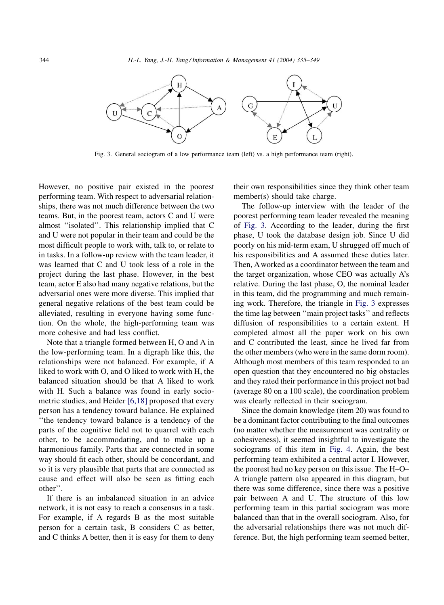<span id="page-9-0"></span>

Fig. 3. General sociogram of a low performance team (left) vs. a high performance team (right).

However, no positive pair existed in the poorest performing team. With respect to adversarial relationships, there was not much difference between the two teams. But, in the poorest team, actors C and U were almost ''isolated''. This relationship implied that C and U were not popular in their team and could be the most difficult people to work with, talk to, or relate to in tasks. In a follow-up review with the team leader, it was learned that C and U took less of a role in the project during the last phase. However, in the best team, actor E also had many negative relations, but the adversarial ones were more diverse. This implied that general negative relations of the best team could be alleviated, resulting in everyone having some function. On the whole, the high-performing team was more cohesive and had less conflict.

Note that a triangle formed between H, O and A in the low-performing team. In a digraph like this, the relationships were not balanced. For example, if A liked to work with O, and O liked to work with H, the balanced situation should be that A liked to work with H. Such a balance was found in early sociometric studies, and Heider [\[6,18\]](#page-12-0) proposed that every person has a tendency toward balance. He explained ''the tendency toward balance is a tendency of the parts of the cognitive field not to quarrel with each other, to be accommodating, and to make up a harmonious family. Parts that are connected in some way should fit each other, should be concordant, and so it is very plausible that parts that are connected as cause and effect will also be seen as fitting each other''.

If there is an imbalanced situation in an advice network, it is not easy to reach a consensus in a task. For example, if A regards B as the most suitable person for a certain task, B considers C as better, and C thinks A better, then it is easy for them to deny their own responsibilities since they think other team member(s) should take charge.

The follow-up interview with the leader of the poorest performing team leader revealed the meaning of Fig. 3. According to the leader, during the first phase, U took the database design job. Since U did poorly on his mid-term exam, U shrugged off much of his responsibilities and A assumed these duties later. Then, Aworked as a coordinator between the team and the target organization, whose CEO was actually A's relative. During the last phase, O, the nominal leader in this team, did the programming and much remaining work. Therefore, the triangle in Fig. 3 expresses the time lag between ''main project tasks'' and reflects diffusion of responsibilities to a certain extent. H completed almost all the paper work on his own and C contributed the least, since he lived far from the other members (who were in the same dorm room). Although most members of this team responded to an open question that they encountered no big obstacles and they rated their performance in this project not bad (average 80 on a 100 scale), the coordination problem was clearly reflected in their sociogram.

Since the domain knowledge (item 20) was found to be a dominant factor contributing to the final outcomes (no matter whether the measurement was centrality or cohesiveness), it seemed insightful to investigate the sociograms of this item in [Fig. 4.](#page-10-0) Again, the best performing team exhibited a central actor I. However, the poorest had no key person on this issue. The H–O– A triangle pattern also appeared in this diagram, but there was some difference, since there was a positive pair between A and U. The structure of this low performing team in this partial sociogram was more balanced than that in the overall sociogram. Also, for the adversarial relationships there was not much difference. But, the high performing team seemed better,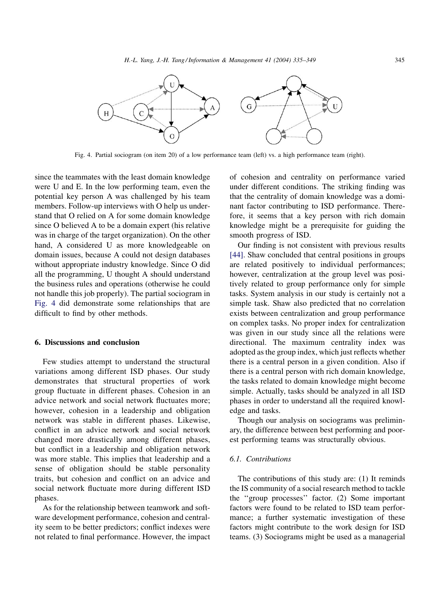<span id="page-10-0"></span>

Fig. 4. Partial sociogram (on item 20) of a low performance team (left) vs. a high performance team (right).

since the teammates with the least domain knowledge were U and E. In the low performing team, even the potential key person A was challenged by his team members. Follow-up interviews with O help us understand that O relied on A for some domain knowledge since O believed A to be a domain expert (his relative was in charge of the target organization). On the other hand, A considered U as more knowledgeable on domain issues, because A could not design databases without appropriate industry knowledge. Since O did all the programming, U thought A should understand the business rules and operations (otherwise he could not handle this job properly). The partial sociogram in Fig. 4 did demonstrate some relationships that are difficult to find by other methods.

## 6. Discussions and conclusion

Few studies attempt to understand the structural variations among different ISD phases. Our study demonstrates that structural properties of work group fluctuate in different phases. Cohesion in an advice network and social network fluctuates more; however, cohesion in a leadership and obligation network was stable in different phases. Likewise, conflict in an advice network and social network changed more drastically among different phases, but conflict in a leadership and obligation network was more stable. This implies that leadership and a sense of obligation should be stable personality traits, but cohesion and conflict on an advice and social network fluctuate more during different ISD phases.

As for the relationship between teamwork and software development performance, cohesion and centrality seem to be better predictors; conflict indexes were not related to final performance. However, the impact of cohesion and centrality on performance varied under different conditions. The striking finding was that the centrality of domain knowledge was a dominant factor contributing to ISD performance. Therefore, it seems that a key person with rich domain knowledge might be a prerequisite for guiding the smooth progress of ISD.

Our finding is not consistent with previous results [\[44\]](#page-13-0). Shaw concluded that central positions in groups are related positively to individual performances; however, centralization at the group level was positively related to group performance only for simple tasks. System analysis in our study is certainly not a simple task. Shaw also predicted that no correlation exists between centralization and group performance on complex tasks. No proper index for centralization was given in our study since all the relations were directional. The maximum centrality index was adopted as the group index, which just reflects whether there is a central person in a given condition. Also if there is a central person with rich domain knowledge, the tasks related to domain knowledge might become simple. Actually, tasks should be analyzed in all ISD phases in order to understand all the required knowledge and tasks.

Though our analysis on sociograms was preliminary, the difference between best performing and poorest performing teams was structurally obvious.

### 6.1. Contributions

The contributions of this study are: (1) It reminds the IS community of a social research method to tackle the ''group processes'' factor. (2) Some important factors were found to be related to ISD team performance; a further systematic investigation of these factors might contribute to the work design for ISD teams. (3) Sociograms might be used as a managerial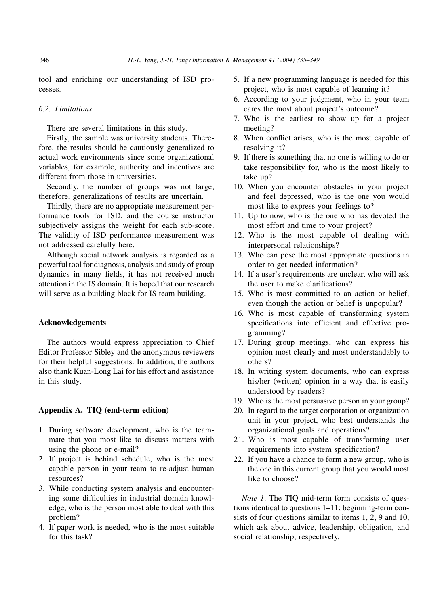<span id="page-11-0"></span>tool and enriching our understanding of ISD processes.

# 6.2. Limitations

There are several limitations in this study.

Firstly, the sample was university students. Therefore, the results should be cautiously generalized to actual work environments since some organizational variables, for example, authority and incentives are different from those in universities.

Secondly, the number of groups was not large; therefore, generalizations of results are uncertain.

Thirdly, there are no appropriate measurement performance tools for ISD, and the course instructor subjectively assigns the weight for each sub-score. The validity of ISD performance measurement was not addressed carefully here.

Although social network analysis is regarded as a powerful tool for diagnosis, analysis and study of group dynamics in many fields, it has not received much attention in the IS domain. It is hoped that our research will serve as a building block for IS team building.

#### Acknowledgements

The authors would express appreciation to Chief Editor Professor Sibley and the anonymous reviewers for their helpful suggestions. In addition, the authors also thank Kuan-Long Lai for his effort and assistance in this study.

#### Appendix A. TIQ (end-term edition)

- 1. During software development, who is the teammate that you most like to discuss matters with using the phone or e-mail?
- 2. If project is behind schedule, who is the most capable person in your team to re-adjust human resources?
- 3. While conducting system analysis and encountering some difficulties in industrial domain knowledge, who is the person most able to deal with this problem?
- 4. If paper work is needed, who is the most suitable for this task?
- 5. If a new programming language is needed for this project, who is most capable of learning it?
- 6. According to your judgment, who in your team cares the most about project's outcome?
- 7. Who is the earliest to show up for a project meeting?
- 8. When conflict arises, who is the most capable of resolving it?
- 9. If there is something that no one is willing to do or take responsibility for, who is the most likely to take up?
- 10. When you encounter obstacles in your project and feel depressed, who is the one you would most like to express your feelings to?
- 11. Up to now, who is the one who has devoted the most effort and time to your project?
- 12. Who is the most capable of dealing with interpersonal relationships?
- 13. Who can pose the most appropriate questions in order to get needed information?
- 14. If a user's requirements are unclear, who will ask the user to make clarifications?
- 15. Who is most committed to an action or belief, even though the action or belief is unpopular?
- 16. Who is most capable of transforming system specifications into efficient and effective programming?
- 17. During group meetings, who can express his opinion most clearly and most understandably to others?
- 18. In writing system documents, who can express his/her (written) opinion in a way that is easily understood by readers?
- 19. Who is the most persuasive person in your group?
- 20. In regard to the target corporation or organization unit in your project, who best understands the organizational goals and operations?
- 21. Who is most capable of transforming user requirements into system specification?
- 22. If you have a chance to form a new group, who is the one in this current group that you would most like to choose?

Note 1. The TIQ mid-term form consists of questions identical to questions 1–11; beginning-term consists of four questions similar to items 1, 2, 9 and 10, which ask about advice, leadership, obligation, and social relationship, respectively.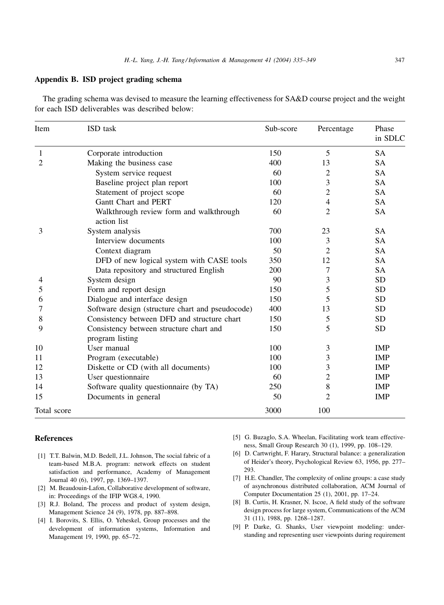## <span id="page-12-0"></span>Appendix B. ISD project grading schema

The grading schema was devised to measure the learning effectiveness for SA&D course project and the weight for each ISD deliverables was described below:

| Item        | ISD task                                                   | Sub-score | Percentage     | Phase<br>in SDLC |
|-------------|------------------------------------------------------------|-----------|----------------|------------------|
| 1           | Corporate introduction                                     | 150       | 5              | <b>SA</b>        |
| 2           | Making the business case                                   | 400       | 13             | <b>SA</b>        |
|             | System service request                                     | 60        | $\overline{c}$ | <b>SA</b>        |
|             | Baseline project plan report                               | 100       | 3              | <b>SA</b>        |
|             | Statement of project scope                                 | 60        | 2              | <b>SA</b>        |
|             | Gantt Chart and PERT                                       | 120       | 4              | <b>SA</b>        |
|             | Walkthrough review form and walkthrough<br>action list     | 60        | 2              | <b>SA</b>        |
| 3           | System analysis                                            | 700       | 23             | <b>SA</b>        |
|             | Interview documents                                        | 100       | 3              | <b>SA</b>        |
|             | Context diagram                                            | 50        | 2              | <b>SA</b>        |
|             | DFD of new logical system with CASE tools                  | 350       | 12             | <b>SA</b>        |
|             | Data repository and structured English                     | 200       | 7              | <b>SA</b>        |
| 4           | System design                                              | 90        | 3              | <b>SD</b>        |
| 5           | Form and report design                                     | 150       | 5              | <b>SD</b>        |
| 6           | Dialogue and interface design                              | 150       | 5              | <b>SD</b>        |
| 7           | Software design (structure chart and pseudocode)           | 400       | 13             | <b>SD</b>        |
| 8           | Consistency between DFD and structure chart                | 150       | 5              | <b>SD</b>        |
| 9           | Consistency between structure chart and<br>program listing | 150       | 5              | <b>SD</b>        |
| 10          | User manual                                                | 100       | 3              | <b>IMP</b>       |
| 11          | Program (executable)                                       | 100       | 3              | <b>IMP</b>       |
| 12          | Diskette or CD (with all documents)                        | 100       | 3              | <b>IMP</b>       |
| 13          | User questionnaire                                         | 60        | $\overline{2}$ | <b>IMP</b>       |
| 14          | Software quality questionnaire (by TA)                     | 250       | 8              | <b>IMP</b>       |
| 15          | Documents in general                                       | 50        | 2              | <b>IMP</b>       |
| Total score |                                                            | 3000      | 100            |                  |

## References

- [1] T.T. Balwin, M.D. Bedell, J.L. Johnson, The social fabric of a team-based M.B.A. program: network effects on student satisfaction and performance, Academy of Management Journal 40 (6), 1997, pp. 1369–1397.
- [2] M. Beaudouin-Lafon, Collaborative development of software, in: Proceedings of the IFIP WG8.4, 1990.
- [3] R.J. Boland, The process and product of system design, Management Science 24 (9), 1978, pp. 887–898.
- [4] I. Borovits, S. Ellis, O. Yeheskel, Group processes and the development of information systems, Information and Management 19, 1990, pp. 65–72.
- [5] G. Buzaglo, S.A. Wheelan, Facilitating work team effectiveness, Small Group Research 30 (1), 1999, pp. 108–129.
- [6] D. Cartwright, F. Harary, Structural balance: a generalization of Heider's theory, Psychological Review 63, 1956, pp. 277– 293.
- [7] H.E. Chandler, The complexity of online groups: a case study of asynchronous distributed collaboration, ACM Journal of Computer Documentation 25 (1), 2001, pp. 17–24.
- [8] B. Curtis, H. Krasner, N. Iscoe, A field study of the software design process for large system, Communications of the ACM 31 (11), 1988, pp. 1268–1287.
- [9] P. Darke, G. Shanks, User viewpoint modeling: understanding and representing user viewpoints during requirement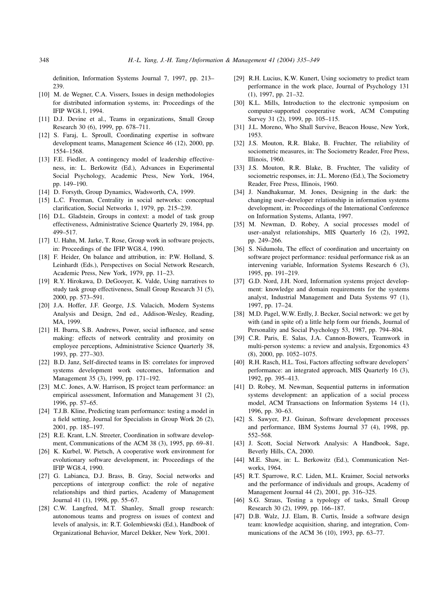definition, Information Systems Journal 7, 1997, pp. 213– 239.

- [10] M. de Wegner, C.A. Vissers, Issues in design methodologies for distributed information systems, in: Proceedings of the IFIP WG8.1, 1994.
- [11] D.J. Devine et al., Teams in organizations, Small Group Research 30 (6), 1999, pp. 678–711.
- [12] S. Faraj, L. Sproull, Coordinating expertise in software development teams, Management Science 46 (12), 2000, pp. 1554–1568.
- [13] F.E. Fiedler, A contingency model of leadership effectiveness, in: L. Berkowitz (Ed.), Advances in Experimental Social Psychology, Academic Press, New York, 1964, pp. 149–190.
- [14] D. Forsyth, Group Dynamics, Wadsworth, CA, 1999.
- [15] L.C. Freeman, Centrality in social networks: conceptual clarification, Social Networks 1, 1979, pp. 215–239.
- [16] D.L. Gladstein, Groups in context: a model of task group effectiveness, Administrative Science Quarterly 29, 1984, pp. 499–517.
- [17] U. Hahn, M. Jarke, T. Rose, Group work in software projects, in: Proceedings of the IFIP WG8.4, 1990.
- [18] F. Heider, On balance and attribution, in: P.W. Holland, S. Leinhardt (Eds.), Perspectives on Social Network Research, Academic Press, New York, 1979, pp. 11–23.
- [19] R.Y. Hirokawa, D. DeGooyer, K. Valde, Using narratives to study task group effectiveness, Small Group Research 31 (5), 2000, pp. 573–591.
- [20] J.A. Hoffer, J.F. George, J.S. Valacich, Modern Systems Analysis and Design, 2nd ed., Addison-Wesley, Reading, MA, 1999.
- [21] H. Ibarra, S.B. Andrews, Power, social influence, and sense making: effects of network centrality and proximity on employee perceptions, Administrative Science Quarterly 38, 1993, pp. 277–303.
- [22] B.D. Janz, Self-directed teams in IS: correlates for improved systems development work outcomes, Information and Management 35 (3), 1999, pp. 171–192.
- [23] M.C. Jones, A.W. Harrison, IS project team performance: an empirical assessment, Information and Management 31 (2), 1996, pp. 57–65.
- [24] T.J.B. Kline, Predicting team performance: testing a model in a field setting, Journal for Specialists in Group Work 26 (2), 2001, pp. 185–197.
- [25] R.E. Krant, L.N. Streeter, Coordination in software development, Communications of the ACM 38 (3), 1995, pp. 69–81.
- [26] K. Kurbel, W. Pietsch, A cooperative work environment for evolutionary software development, in: Proceedings of the IFIP WG8.4, 1990.
- [27] G. Labianca, D.J. Brass, B. Gray, Social networks and perceptions of intergroup conflict: the role of negative relationships and third parties, Academy of Management Journal 41 (1), 1998, pp. 55–67.
- [28] C.W. Langfred, M.T. Shanley, Small group research: autonomous teams and progress on issues of context and levels of analysis, in: R.T. Golembiewski (Ed.), Handbook of Organizational Behavior, Marcel Dekker, New York, 2001.
- [29] R.H. Lucius, K.W. Kunert, Using sociometry to predict team performance in the work place, Journal of Psychology 131 (1), 1997, pp. 21–32.
- [30] K.L. Mills, Introduction to the electronic symposium on computer-supported cooperative work, ACM Computing Survey 31 (2), 1999, pp. 105–115.
- [31] J.L. Moreno, Who Shall Survive, Beacon House, New York, 1953.
- [32] J.S. Mouton, R.R. Blake, B. Fruchter, The reliability of sociometric measures, in: The Sociometry Reader, Free Press, Illinois, 1960.
- [33] J.S. Mouton, R.R. Blake, B. Fruchter, The validity of sociometric responses, in: J.L. Moreno (Ed.), The Sociometry Reader, Free Press, Illinois, 1960.
- [34] J. Nandhakumar, M. Jones, Designing in the dark: the changing user–developer relationship in information systems development, in: Proceedings of the International Conference on Information Systems, Atlanta, 1997.
- [35] M. Newman, D. Robey, A social processes model of user–analyst relationships, MIS Quarterly 16 (2), 1992, pp. 249–266.
- [36] S. Nidumolu, The effect of coordination and uncertainty on software project performance: residual performance risk as an intervening variable, Information Systems Research 6 (3), 1995, pp. 191–219.
- [37] G.D. Nord, J.H. Nord, Information systems project development: knowledge and domain requirements for the systems analyst, Industrial Management and Data Systems 97 (1), 1997, pp. 17–24.
- [38] M.D. Pagel, W.W. Erdly, J. Becker, Social network: we get by with (and in spite of) a little help form our friends, Journal of Personality and Social Psychology 53, 1987, pp. 794–804.
- [39] C.R. Paris, E. Salas, J.A. Cannon-Bowers, Teamwork in multi-person systems: a review and analysis, Ergonomics 43 (8), 2000, pp. 1052–1075.
- [40] R.H. Rasch, H.L. Tosi, Factors affecting software developers' performance: an integrated approach, MIS Quarterly 16 (3), 1992, pp. 395–413.
- [41] D. Robey, M. Newman, Sequential patterns in information systems development: an application of a social process model, ACM Transactions on Information Systems 14 (1), 1996, pp. 30–63.
- [42] S. Sawyer, P.J. Guinan, Software development processes and performance, IBM Systems Journal 37 (4), 1998, pp. 552–568.
- [43] J. Scott, Social Network Analysis: A Handbook, Sage, Beverly Hills, CA, 2000.
- [44] M.E. Shaw, in: L. Berkowitz (Ed.), Communication Networks, 1964.
- [45] R.T. Sparrowe, R.C. Liden, M.L. Kraimer, Social networks and the performance of individuals and groups, Academy of Management Journal 44 (2), 2001, pp. 316–325.
- [46] S.G. Straus, Testing a typology of tasks, Small Group Research 30 (2), 1999, pp. 166–187.
- [47] D.B. Walz, J.J. Elam, B. Curtis, Inside a software design team: knowledge acquisition, sharing, and integration, Communications of the ACM 36 (10), 1993, pp. 63–77.

<span id="page-13-0"></span>